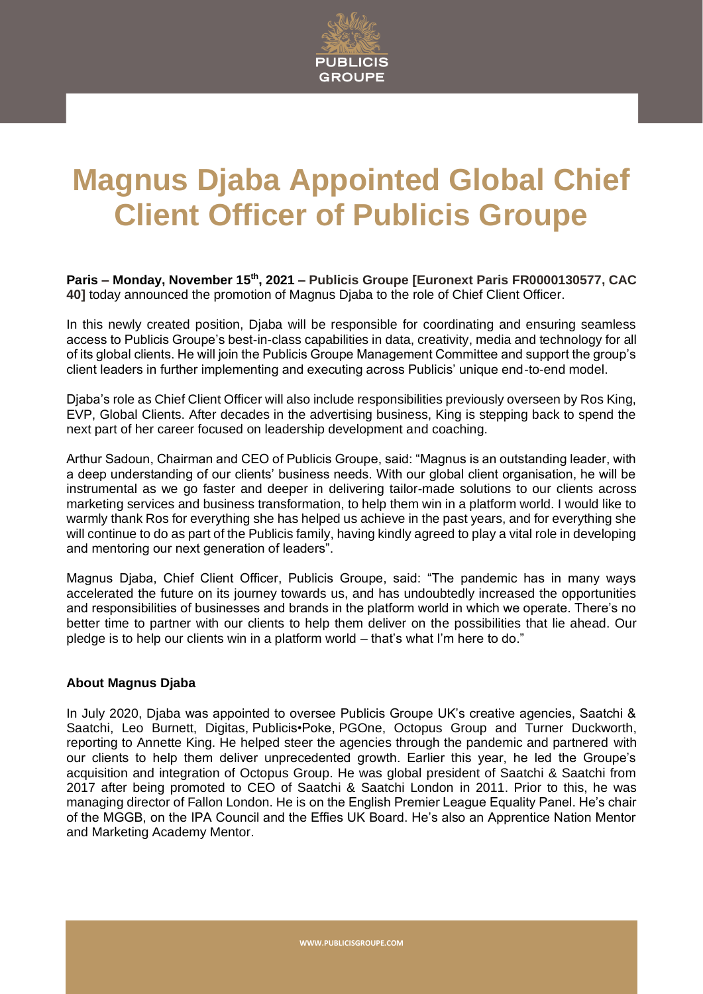

## **Magnus Djaba Appointed Global Chief Client Officer of Publicis Groupe**

**Paris – Monday, November 15th , 2021 – Publicis Groupe [Euronext Paris FR0000130577, CAC 40]** today announced the promotion of Magnus Djaba to the role of Chief Client Officer.

In this newly created position, Djaba will be responsible for coordinating and ensuring seamless access to Publicis Groupe's best-in-class capabilities in data, creativity, media and technology for all of its global clients. He will join the Publicis Groupe Management Committee and support the group's client leaders in further implementing and executing across Publicis' unique end-to-end model.

Djaba's role as Chief Client Officer will also include responsibilities previously overseen by Ros King, EVP, Global Clients. After decades in the advertising business, King is stepping back to spend the next part of her career focused on leadership development and coaching.

Arthur Sadoun, Chairman and CEO of Publicis Groupe, said: "Magnus is an outstanding leader, with a deep understanding of our clients' business needs. With our global client organisation, he will be instrumental as we go faster and deeper in delivering tailor-made solutions to our clients across marketing services and business transformation, to help them win in a platform world. I would like to warmly thank Ros for everything she has helped us achieve in the past years, and for everything she will continue to do as part of the Publicis family, having kindly agreed to play a vital role in developing and mentoring our next generation of leaders".

Magnus Djaba, Chief Client Officer, Publicis Groupe, said: "The pandemic has in many ways accelerated the future on its journey towards us, and has undoubtedly increased the opportunities and responsibilities of businesses and brands in the platform world in which we operate. There's no better time to partner with our clients to help them deliver on the possibilities that lie ahead. Our pledge is to help our clients win in a platform world – that's what I'm here to do."

## **About Magnus Djaba**

In July 2020, Djaba was appointed to oversee Publicis Groupe UK's creative agencies, Saatchi & Saatchi, Leo Burnett, Digitas, Publicis•Poke, PGOne, Octopus Group and Turner Duckworth, reporting to Annette King. He helped steer the agencies through the pandemic and partnered with our clients to help them deliver unprecedented growth. Earlier this year, he led the Groupe's acquisition and integration of Octopus Group. He was global president of Saatchi & Saatchi from 2017 after being promoted to CEO of Saatchi & Saatchi London in 2011. Prior to this, he was managing director of Fallon London. He is on the English Premier League Equality Panel. He's chair of the MGGB, on the IPA Council and the Effies UK Board. He's also an Apprentice Nation Mentor and Marketing Academy Mentor.